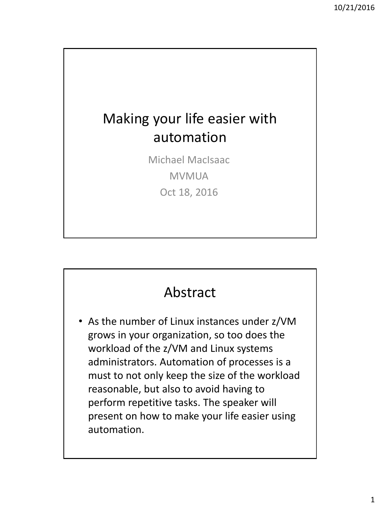## Making your life easier with automation

Michael MacIsaac MVMUA Oct 18, 2016

## Abstract

• As the number of Linux instances under z/VM grows in your organization, so too does the workload of the z/VM and Linux systems administrators. Automation of processes is a must to not only keep the size of the workload reasonable, but also to avoid having to perform repetitive tasks. The speaker will present on how to make your life easier using automation.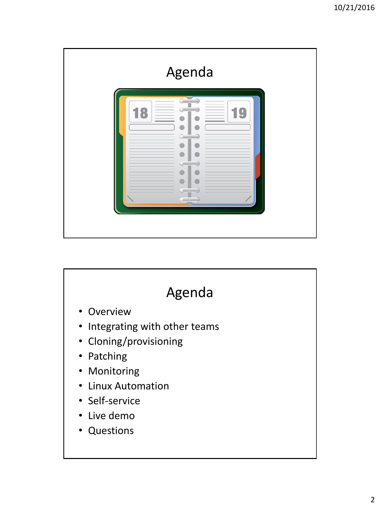

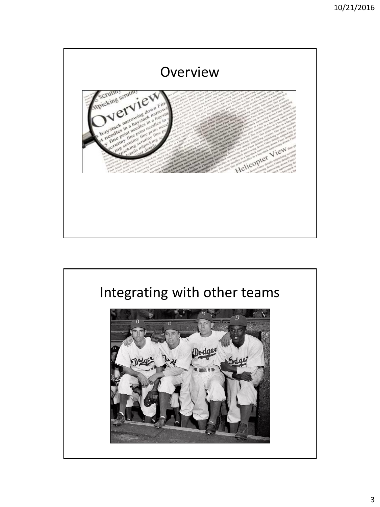

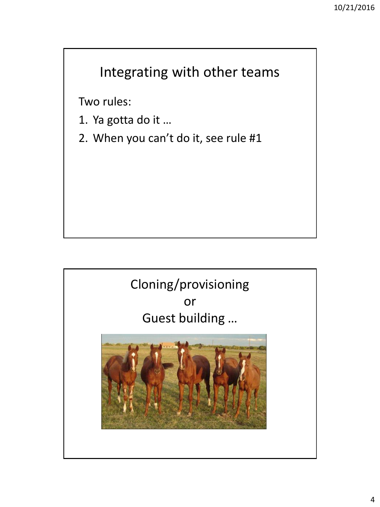## Integrating with other teams

Two rules:

- 1. Ya gotta do it …
- 2. When you can't do it, see rule #1

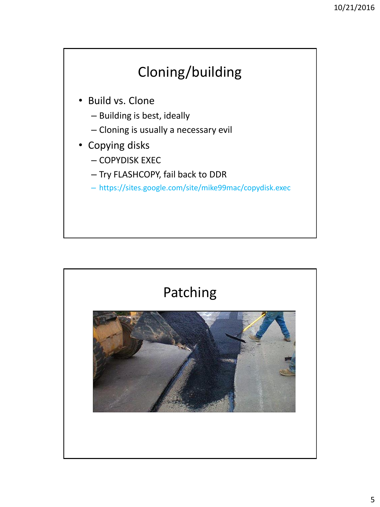# Cloning/building

- Build vs. Clone
	- Building is best, ideally
	- Cloning is usually a necessary evil
- Copying disks
	- COPYDISK EXEC
	- Try FLASHCOPY, fail back to DDR
	- https://sites.google.com/site/mike99mac/copydisk.exec

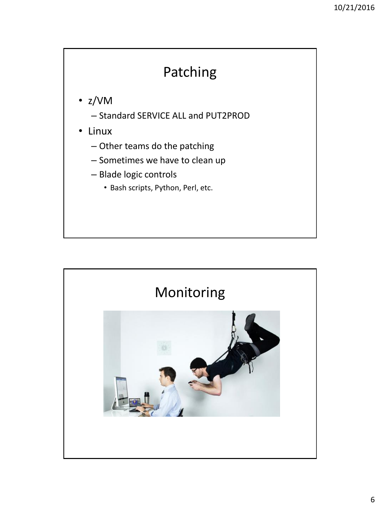## Patching

- z/VM
	- Standard SERVICE ALL and PUT2PROD
- Linux
	- Other teams do the patching
	- Sometimes we have to clean up
	- Blade logic controls
		- Bash scripts, Python, Perl, etc.

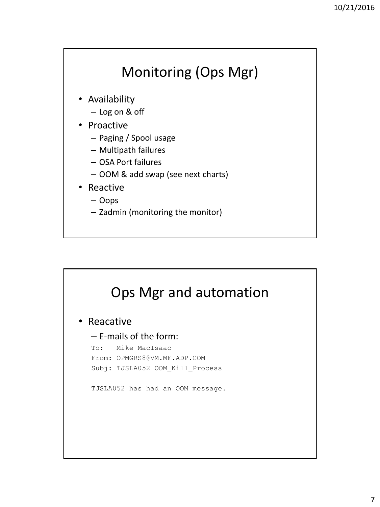## Monitoring (Ops Mgr)

- Availability
	- Log on & off
- Proactive
	- Paging / Spool usage
	- Multipath failures
	- OSA Port failures
	- OOM & add swap (see next charts)
- Reactive
	- Oops
	- Zadmin (monitoring the monitor)

# Ops Mgr and automation

• Reacative

## – E-mails of the form:

To: Mike MacIsaac From: OPMGRS8@VM.MF.ADP.COM Subj: TJSLA052 OOM\_Kill\_Process

TJSLA052 has had an OOM message.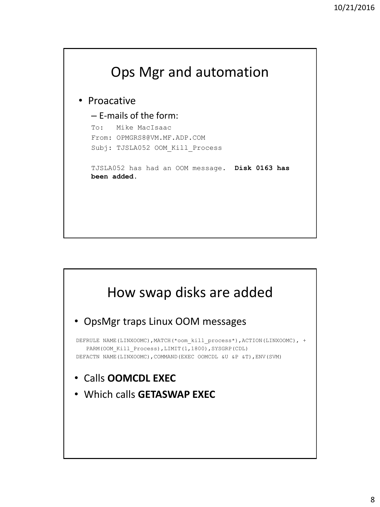

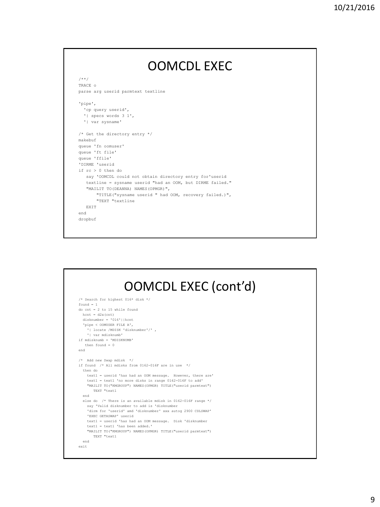#### OOMCDL EXEC /\*\*/ TRACE o parse arg userid parmtext textline 'pipe', 'cp query userid', '| specs words 3 1', '| var sysname' /\* Get the directory entry \*/ makebuf queue 'fn oomuser' queue 'ft file' queue 'ffile' 'DIRME 'userid if rc > 0 then do say 'OOMCDL could not obtain directory entry for'userid textline = sysname userid "had an OOM, but DIRME failed." "MAILIT TO(DEANNA) NAMES(OPMGR)", "TITLE("sysname userid " had OOM, recovery failed.)", "TEXT "textline EXTT end dropbuf

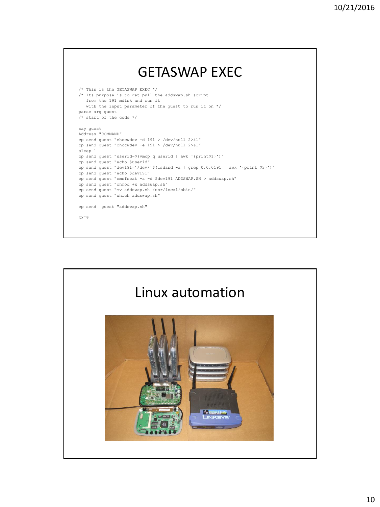### GETASWAP EXEC /\* This is the GETASWAP EXEC \*/ /\* Its purpose is to get pull the addswap.sh script from the 191 mdisk and run it with the input parameter of the guest to run it on \*/ parse arg guest  $/*$  start of the code  $*/$ say guest Address "COMMAND" cp send guest "chccwdev -d 191 > /dev/null 2>&1" cp send guest "chccwdev -e 191 > /dev/null 2>&1" sleep 1 cp send guest "userid=\$(vmcp q userid | awk '{print\$1}')" cp send guest "echo \$userid" cp send guest "dev191='/dev/'\$(lsdasd -a | grep 0.0.0191 | awk '{print \$3}')" cp send guest "echo \$dev191" cp send guest "cmsfscat -a -d \$dev191 ADDSWAP.SH > addswap.sh" cp send guest "chmod +x addswap.sh" cp send guest "mv addswap.sh /usr/local/sbin/" cp send guest "which addswap.sh" cp send guest "addswap.sh" EXIT

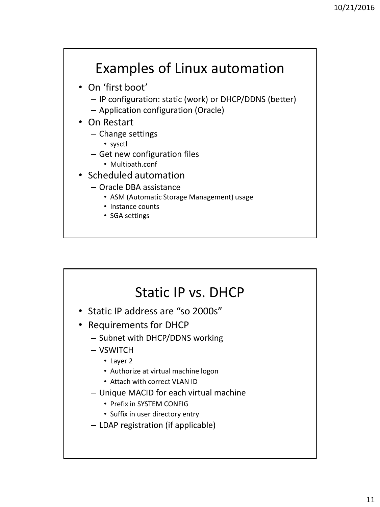## Examples of Linux automation

- On 'first boot'
	- IP configuration: static (work) or DHCP/DDNS (better)
	- Application configuration (Oracle)
- On Restart
	- Change settings
		- sysctl
	- Get new configuration files
		- Multipath.conf
- Scheduled automation
	- Oracle DBA assistance
		- ASM (Automatic Storage Management) usage
		- Instance counts
		- SGA settings

## Static IP vs. DHCP

- Static IP address are "so 2000s"
- Requirements for DHCP
	- Subnet with DHCP/DDNS working
	- VSWITCH
		- Layer 2
		- Authorize at virtual machine logon
		- Attach with correct VLAN ID
	- Unique MACID for each virtual machine
		- Prefix in SYSTEM CONFIG
		- Suffix in user directory entry
	- LDAP registration (if applicable)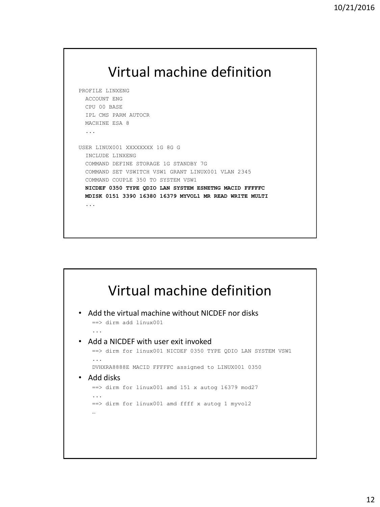

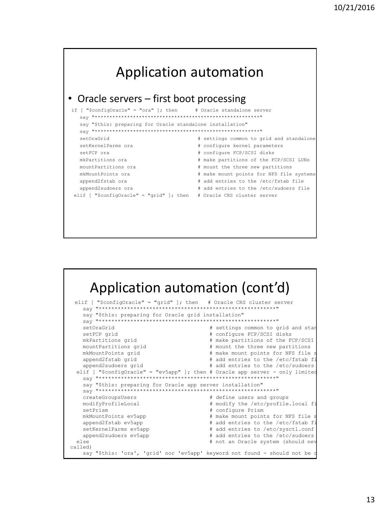

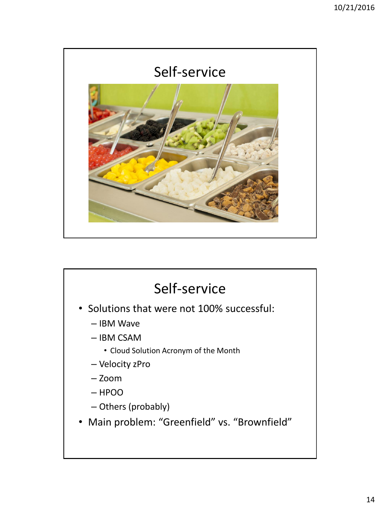

## Self-service • Solutions that were not 100% successful: – IBM Wave – IBM CSAM • Cloud Solution Acronym of the Month – Velocity zPro – Zoom – HPOO – Others (probably) • Main problem: "Greenfield" vs. "Brownfield"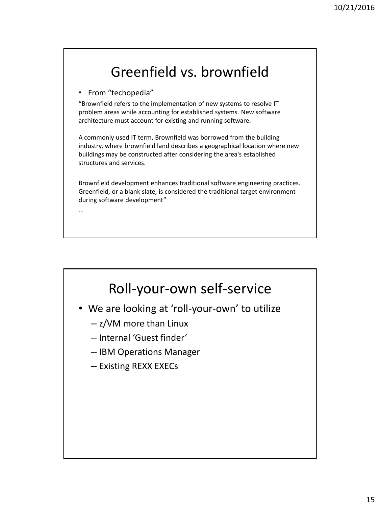## Greenfield vs. brownfield

• From "techopedia"

"Brownfield refers to the implementation of new systems to resolve IT problem areas while accounting for established systems. New software architecture must account for existing and running software.

A commonly used IT term, Brownfield was borrowed from the building industry, where brownfield land describes a geographical location where new buildings may be constructed after considering the area's established structures and services.

Brownfield development enhances traditional software engineering practices. Greenfield, or a blank slate, is considered the traditional target environment during software development"

…

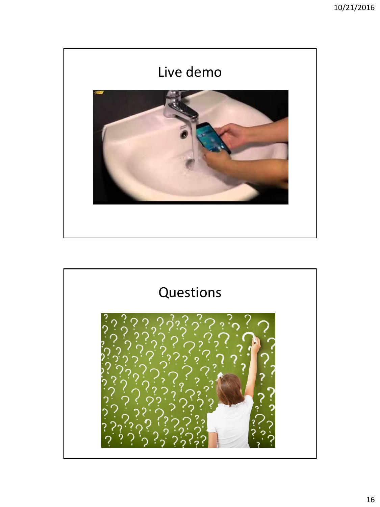

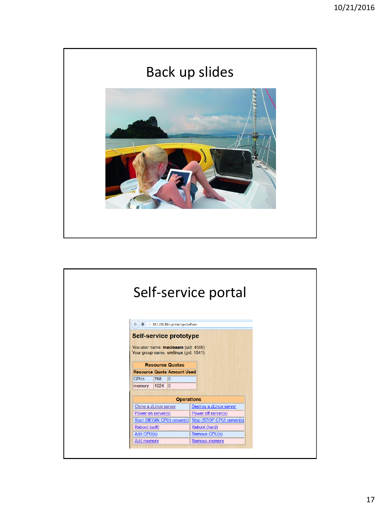

| Self-service portal                                                                                                                                                                                                              |                         |  |  |  |
|----------------------------------------------------------------------------------------------------------------------------------------------------------------------------------------------------------------------------------|-------------------------|--|--|--|
| 20.1.231.89/cqi-bin/ops/selfserv<br>←<br>$\rightarrow$                                                                                                                                                                           |                         |  |  |  |
| <b>Self-service prototype</b><br>You user name: macisaam (uid: 4506)<br>Your group name: vmlinux (gid: 1041)<br><b>Resource Quotas</b><br><b>Resource Quota Amount Used</b><br><b>CPUS</b><br>768<br>lo.<br>$ 1024 $ 0<br>memory |                         |  |  |  |
| <b>Operations</b>                                                                                                                                                                                                                |                         |  |  |  |
| Clone a zLinux server                                                                                                                                                                                                            | Destroy a zLinux server |  |  |  |
| Power on server(s)                                                                                                                                                                                                               | Power off server(s)     |  |  |  |
| Start (BEGIN CPU) server(s) Stop (STOP CPU) server(s)                                                                                                                                                                            |                         |  |  |  |
| Reboot (soft)                                                                                                                                                                                                                    | Reboot (hard)           |  |  |  |
| Add CPU(s)                                                                                                                                                                                                                       | Remove CPU(s)           |  |  |  |
| <b>Add memory</b>                                                                                                                                                                                                                |                         |  |  |  |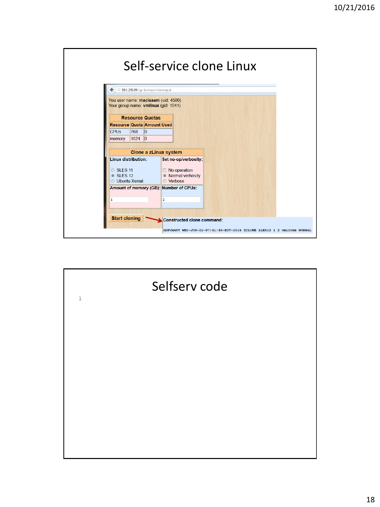|                                                                                                                                                                 | Self-service clone Linux                                 |                                                                        |
|-----------------------------------------------------------------------------------------------------------------------------------------------------------------|----------------------------------------------------------|------------------------------------------------------------------------|
| €<br>10.1.231.89/cgi-bin/ops/cloneinput<br>You user name: macisaam (uid: 4506)                                                                                  |                                                          |                                                                        |
| Your group name: vmlinux (gid: 1041)<br><b>Resource Quotas</b><br><b>Resource Quota Amount Used</b><br><b>CPU<sub>S</sub></b><br>768<br>0<br>$1024$ 0<br>memory |                                                          |                                                                        |
| Linux distribution:                                                                                                                                             | Clone a zLinux system<br>Set no-op/verbosity:            |                                                                        |
| SLES <sub>11</sub><br>SLES <sub>12</sub><br><b>Ubuntu Xenial</b>                                                                                                | No operation<br>• Normal verbosity<br><b>Verbose</b>     |                                                                        |
|                                                                                                                                                                 | Amount of memory (GB): Number of CPUs:<br>$\overline{2}$ |                                                                        |
| <b>Start cloning</b>                                                                                                                                            | Constructed clone command:                               |                                                                        |
|                                                                                                                                                                 |                                                          | ADPVMAUT WED-JUN-22-07:41:40-EDT-2016 ZCLONE SLES12 1 2 vmlinux NORMAL |